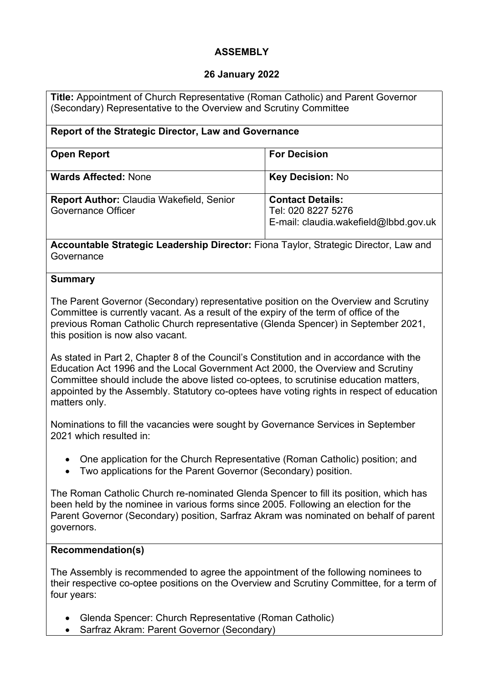# **ASSEMBLY**

## **26 January 2022**

**Title:** Appointment of Church Representative (Roman Catholic) and Parent Governor (Secondary) Representative to the Overview and Scrutiny Committee

| Report of the Strategic Director, Law and Governance                         |                                                                                        |
|------------------------------------------------------------------------------|----------------------------------------------------------------------------------------|
| <b>Open Report</b>                                                           | <b>For Decision</b>                                                                    |
| <b>Wards Affected: None</b>                                                  | <b>Key Decision: No</b>                                                                |
| <b>Report Author: Claudia Wakefield, Senior</b><br><b>Governance Officer</b> | <b>Contact Details:</b><br>Tel: 020 8227 5276<br>E-mail: claudia.wakefield@lbbd.gov.uk |

**Accountable Strategic Leadership Director:** Fiona Taylor, Strategic Director, Law and **Governance** 

### **Summary**

The Parent Governor (Secondary) representative position on the Overview and Scrutiny Committee is currently vacant. As a result of the expiry of the term of office of the previous Roman Catholic Church representative (Glenda Spencer) in September 2021, this position is now also vacant.

As stated in Part 2, Chapter 8 of the Council's Constitution and in accordance with the Education Act 1996 and the Local Government Act 2000, the Overview and Scrutiny Committee should include the above listed co-optees, to scrutinise education matters, appointed by the Assembly. Statutory co-optees have voting rights in respect of education matters only.

Nominations to fill the vacancies were sought by Governance Services in September 2021 which resulted in:

- One application for the Church Representative (Roman Catholic) position; and
- Two applications for the Parent Governor (Secondary) position.

The Roman Catholic Church re-nominated Glenda Spencer to fill its position, which has been held by the nominee in various forms since 2005. Following an election for the Parent Governor (Secondary) position, Sarfraz Akram was nominated on behalf of parent governors.

#### **Recommendation(s)**

The Assembly is recommended to agree the appointment of the following nominees to their respective co-optee positions on the Overview and Scrutiny Committee, for a term of four years:

- Glenda Spencer: Church Representative (Roman Catholic)
- Sarfraz Akram: Parent Governor (Secondary)